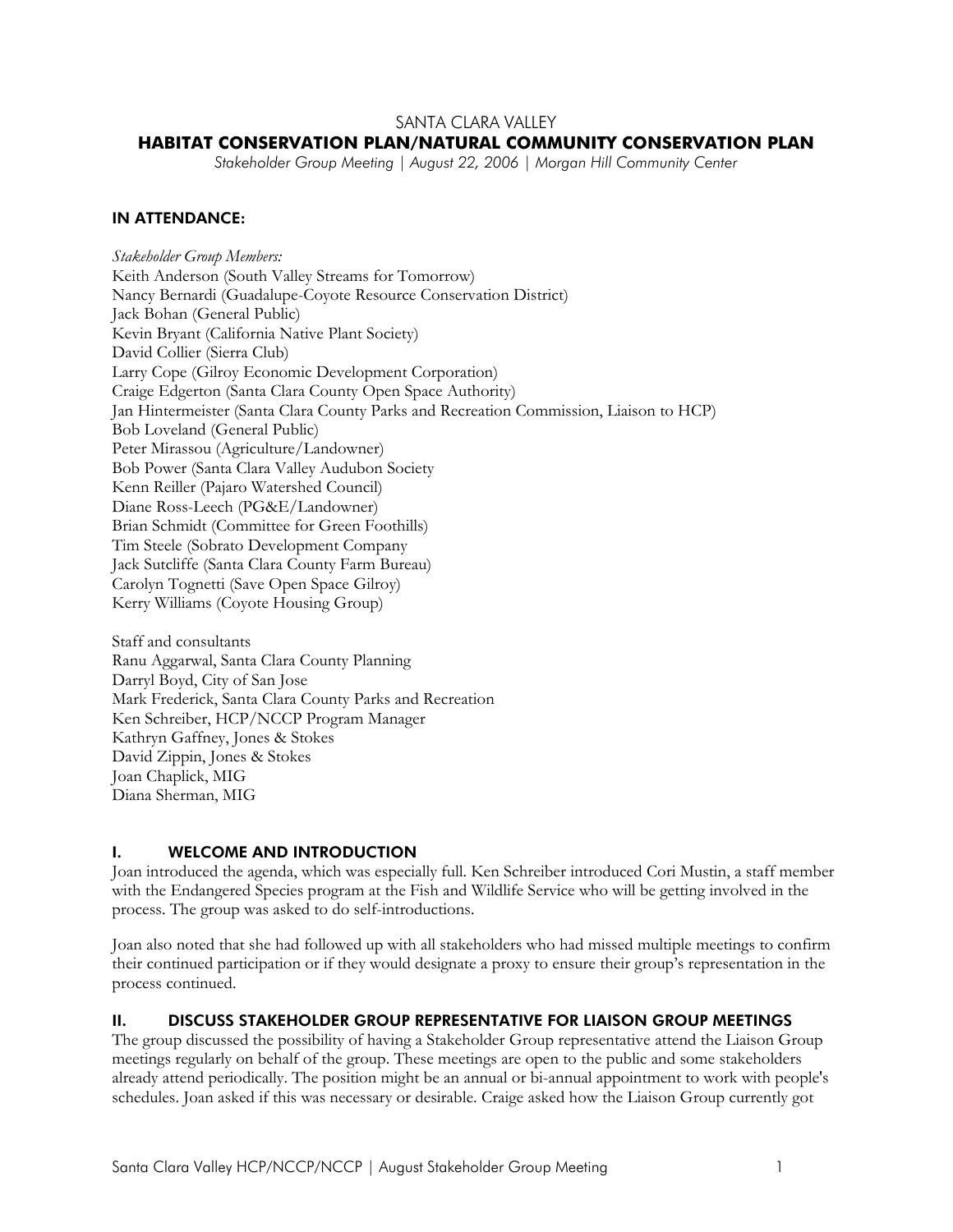# SANTA CLARA VALLEY

# **HABITAT CONSERVATION PLAN/NATURAL COMMUNITY CONSERVATION PLAN**

*Stakeholder Group Meeting | August 22, 2006 | Morgan Hill Community Center* 

# IN ATTENDANCE:

*Stakeholder Group Members:*  Keith Anderson (South Valley Streams for Tomorrow) Nancy Bernardi (Guadalupe-Coyote Resource Conservation District) Jack Bohan (General Public) Kevin Bryant (California Native Plant Society) David Collier (Sierra Club) Larry Cope (Gilroy Economic Development Corporation) Craige Edgerton (Santa Clara County Open Space Authority) Jan Hintermeister (Santa Clara County Parks and Recreation Commission, Liaison to HCP) Bob Loveland (General Public) Peter Mirassou (Agriculture/Landowner) Bob Power (Santa Clara Valley Audubon Society Kenn Reiller (Pajaro Watershed Council) Diane Ross-Leech (PG&E/Landowner) Brian Schmidt (Committee for Green Foothills) Tim Steele (Sobrato Development Company Jack Sutcliffe (Santa Clara County Farm Bureau) Carolyn Tognetti (Save Open Space Gilroy) Kerry Williams (Coyote Housing Group)

Staff and consultants Ranu Aggarwal, Santa Clara County Planning Darryl Boyd, City of San Jose Mark Frederick, Santa Clara County Parks and Recreation Ken Schreiber, HCP/NCCP Program Manager Kathryn Gaffney, Jones & Stokes David Zippin, Jones & Stokes Joan Chaplick, MIG Diana Sherman, MIG

### I. WELCOME AND INTRODUCTION

Joan introduced the agenda, which was especially full. Ken Schreiber introduced Cori Mustin, a staff member with the Endangered Species program at the Fish and Wildlife Service who will be getting involved in the process. The group was asked to do self-introductions.

Joan also noted that she had followed up with all stakeholders who had missed multiple meetings to confirm their continued participation or if they would designate a proxy to ensure their group's representation in the process continued.

### II. DISCUSS STAKEHOLDER GROUP REPRESENTATIVE FOR LIAISON GROUP MEETINGS

The group discussed the possibility of having a Stakeholder Group representative attend the Liaison Group meetings regularly on behalf of the group. These meetings are open to the public and some stakeholders already attend periodically. The position might be an annual or bi-annual appointment to work with people's schedules. Joan asked if this was necessary or desirable. Craige asked how the Liaison Group currently got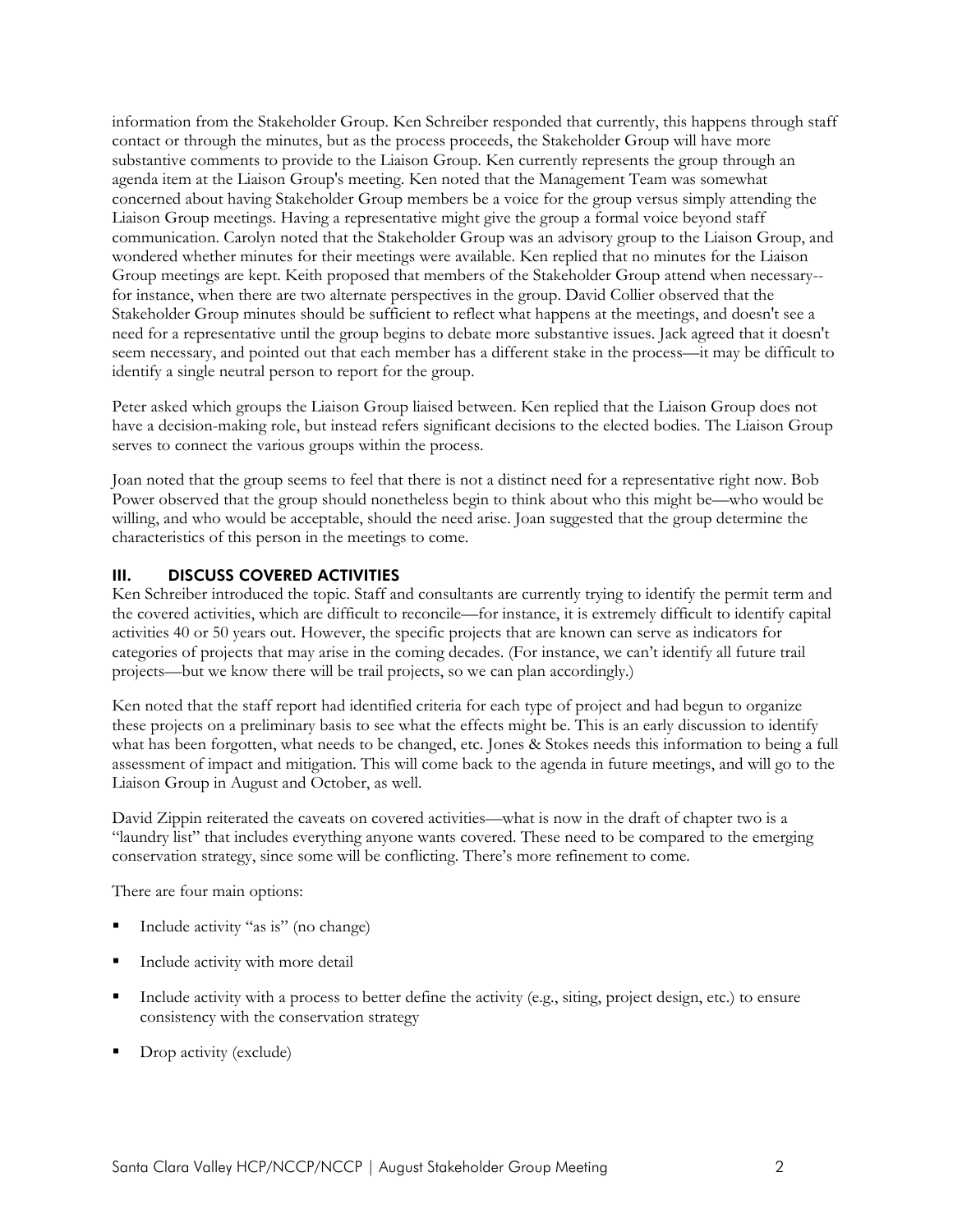information from the Stakeholder Group. Ken Schreiber responded that currently, this happens through staff contact or through the minutes, but as the process proceeds, the Stakeholder Group will have more substantive comments to provide to the Liaison Group. Ken currently represents the group through an agenda item at the Liaison Group's meeting. Ken noted that the Management Team was somewhat concerned about having Stakeholder Group members be a voice for the group versus simply attending the Liaison Group meetings. Having a representative might give the group a formal voice beyond staff communication. Carolyn noted that the Stakeholder Group was an advisory group to the Liaison Group, and wondered whether minutes for their meetings were available. Ken replied that no minutes for the Liaison Group meetings are kept. Keith proposed that members of the Stakeholder Group attend when necessary- for instance, when there are two alternate perspectives in the group. David Collier observed that the Stakeholder Group minutes should be sufficient to reflect what happens at the meetings, and doesn't see a need for a representative until the group begins to debate more substantive issues. Jack agreed that it doesn't seem necessary, and pointed out that each member has a different stake in the process—it may be difficult to identify a single neutral person to report for the group.

Peter asked which groups the Liaison Group liaised between. Ken replied that the Liaison Group does not have a decision-making role, but instead refers significant decisions to the elected bodies. The Liaison Group serves to connect the various groups within the process.

Joan noted that the group seems to feel that there is not a distinct need for a representative right now. Bob Power observed that the group should nonetheless begin to think about who this might be—who would be willing, and who would be acceptable, should the need arise. Joan suggested that the group determine the characteristics of this person in the meetings to come.

#### III. DISCUSS COVERED ACTIVITIES

Ken Schreiber introduced the topic. Staff and consultants are currently trying to identify the permit term and the covered activities, which are difficult to reconcile—for instance, it is extremely difficult to identify capital activities 40 or 50 years out. However, the specific projects that are known can serve as indicators for categories of projects that may arise in the coming decades. (For instance, we can't identify all future trail projects—but we know there will be trail projects, so we can plan accordingly.)

Ken noted that the staff report had identified criteria for each type of project and had begun to organize these projects on a preliminary basis to see what the effects might be. This is an early discussion to identify what has been forgotten, what needs to be changed, etc. Jones & Stokes needs this information to being a full assessment of impact and mitigation. This will come back to the agenda in future meetings, and will go to the Liaison Group in August and October, as well.

David Zippin reiterated the caveats on covered activities—what is now in the draft of chapter two is a "laundry list" that includes everything anyone wants covered. These need to be compared to the emerging conservation strategy, since some will be conflicting. There's more refinement to come.

There are four main options:

- Include activity "as is" (no change)
- Include activity with more detail
- Include activity with a process to better define the activity (e.g., siting, project design, etc.) to ensure consistency with the conservation strategy
- Drop activity (exclude)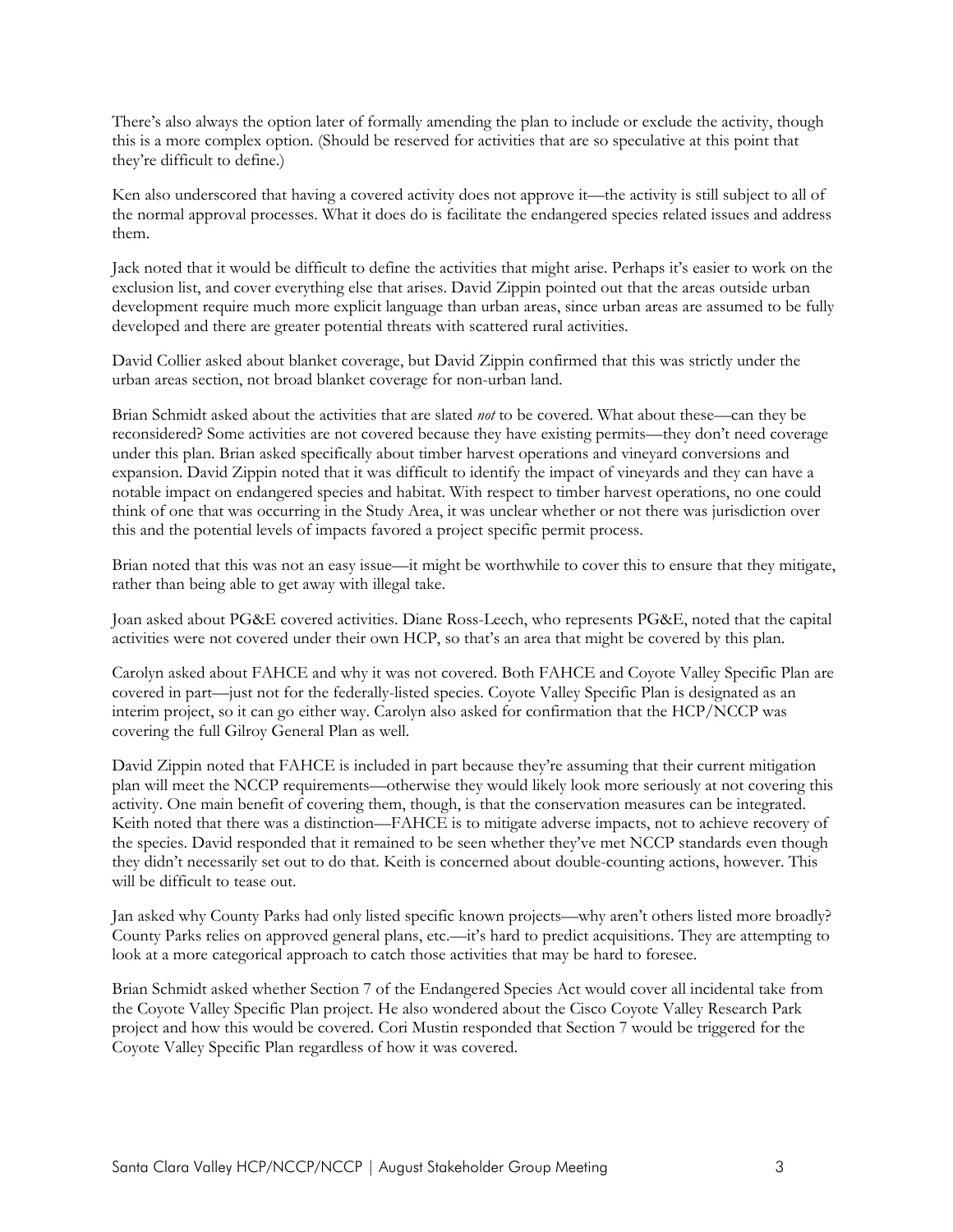There's also always the option later of formally amending the plan to include or exclude the activity, though this is a more complex option. (Should be reserved for activities that are so speculative at this point that they're difficult to define.)

Ken also underscored that having a covered activity does not approve it—the activity is still subject to all of the normal approval processes. What it does do is facilitate the endangered species related issues and address them.

Jack noted that it would be difficult to define the activities that might arise. Perhaps it's easier to work on the exclusion list, and cover everything else that arises. David Zippin pointed out that the areas outside urban development require much more explicit language than urban areas, since urban areas are assumed to be fully developed and there are greater potential threats with scattered rural activities.

David Collier asked about blanket coverage, but David Zippin confirmed that this was strictly under the urban areas section, not broad blanket coverage for non-urban land.

Brian Schmidt asked about the activities that are slated *not* to be covered. What about these—can they be reconsidered? Some activities are not covered because they have existing permits—they don't need coverage under this plan. Brian asked specifically about timber harvest operations and vineyard conversions and expansion. David Zippin noted that it was difficult to identify the impact of vineyards and they can have a notable impact on endangered species and habitat. With respect to timber harvest operations, no one could think of one that was occurring in the Study Area, it was unclear whether or not there was jurisdiction over this and the potential levels of impacts favored a project specific permit process.

Brian noted that this was not an easy issue—it might be worthwhile to cover this to ensure that they mitigate, rather than being able to get away with illegal take.

Joan asked about PG&E covered activities. Diane Ross-Leech, who represents PG&E, noted that the capital activities were not covered under their own HCP, so that's an area that might be covered by this plan.

Carolyn asked about FAHCE and why it was not covered. Both FAHCE and Coyote Valley Specific Plan are covered in part—just not for the federally-listed species. Coyote Valley Specific Plan is designated as an interim project, so it can go either way. Carolyn also asked for confirmation that the HCP/NCCP was covering the full Gilroy General Plan as well.

David Zippin noted that FAHCE is included in part because they're assuming that their current mitigation plan will meet the NCCP requirements—otherwise they would likely look more seriously at not covering this activity. One main benefit of covering them, though, is that the conservation measures can be integrated. Keith noted that there was a distinction—FAHCE is to mitigate adverse impacts, not to achieve recovery of the species. David responded that it remained to be seen whether they've met NCCP standards even though they didn't necessarily set out to do that. Keith is concerned about double-counting actions, however. This will be difficult to tease out.

Jan asked why County Parks had only listed specific known projects—why aren't others listed more broadly? County Parks relies on approved general plans, etc.—it's hard to predict acquisitions. They are attempting to look at a more categorical approach to catch those activities that may be hard to foresee.

Brian Schmidt asked whether Section 7 of the Endangered Species Act would cover all incidental take from the Coyote Valley Specific Plan project. He also wondered about the Cisco Coyote Valley Research Park project and how this would be covered. Cori Mustin responded that Section 7 would be triggered for the Coyote Valley Specific Plan regardless of how it was covered.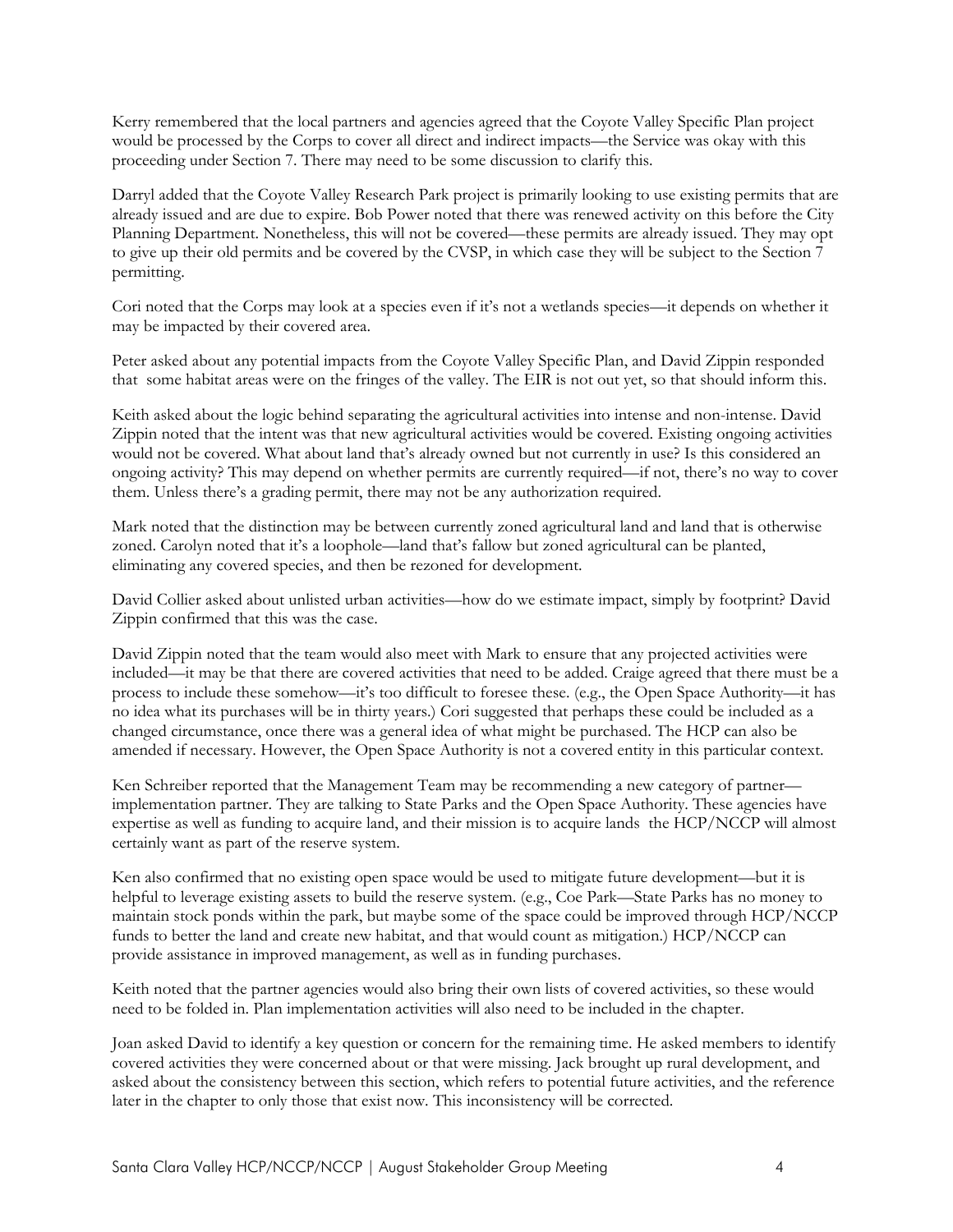Kerry remembered that the local partners and agencies agreed that the Coyote Valley Specific Plan project would be processed by the Corps to cover all direct and indirect impacts—the Service was okay with this proceeding under Section 7. There may need to be some discussion to clarify this.

Darryl added that the Coyote Valley Research Park project is primarily looking to use existing permits that are already issued and are due to expire. Bob Power noted that there was renewed activity on this before the City Planning Department. Nonetheless, this will not be covered—these permits are already issued. They may opt to give up their old permits and be covered by the CVSP, in which case they will be subject to the Section 7 permitting.

Cori noted that the Corps may look at a species even if it's not a wetlands species—it depends on whether it may be impacted by their covered area.

Peter asked about any potential impacts from the Coyote Valley Specific Plan, and David Zippin responded that some habitat areas were on the fringes of the valley. The EIR is not out yet, so that should inform this.

Keith asked about the logic behind separating the agricultural activities into intense and non-intense. David Zippin noted that the intent was that new agricultural activities would be covered. Existing ongoing activities would not be covered. What about land that's already owned but not currently in use? Is this considered an ongoing activity? This may depend on whether permits are currently required—if not, there's no way to cover them. Unless there's a grading permit, there may not be any authorization required.

Mark noted that the distinction may be between currently zoned agricultural land and land that is otherwise zoned. Carolyn noted that it's a loophole—land that's fallow but zoned agricultural can be planted, eliminating any covered species, and then be rezoned for development.

David Collier asked about unlisted urban activities—how do we estimate impact, simply by footprint? David Zippin confirmed that this was the case.

David Zippin noted that the team would also meet with Mark to ensure that any projected activities were included—it may be that there are covered activities that need to be added. Craige agreed that there must be a process to include these somehow—it's too difficult to foresee these. (e.g., the Open Space Authority—it has no idea what its purchases will be in thirty years.) Cori suggested that perhaps these could be included as a changed circumstance, once there was a general idea of what might be purchased. The HCP can also be amended if necessary. However, the Open Space Authority is not a covered entity in this particular context.

Ken Schreiber reported that the Management Team may be recommending a new category of partner implementation partner. They are talking to State Parks and the Open Space Authority. These agencies have expertise as well as funding to acquire land, and their mission is to acquire lands the HCP/NCCP will almost certainly want as part of the reserve system.

Ken also confirmed that no existing open space would be used to mitigate future development—but it is helpful to leverage existing assets to build the reserve system. (e.g., Coe Park—State Parks has no money to maintain stock ponds within the park, but maybe some of the space could be improved through HCP/NCCP funds to better the land and create new habitat, and that would count as mitigation.) HCP/NCCP can provide assistance in improved management, as well as in funding purchases.

Keith noted that the partner agencies would also bring their own lists of covered activities, so these would need to be folded in. Plan implementation activities will also need to be included in the chapter.

Joan asked David to identify a key question or concern for the remaining time. He asked members to identify covered activities they were concerned about or that were missing. Jack brought up rural development, and asked about the consistency between this section, which refers to potential future activities, and the reference later in the chapter to only those that exist now. This inconsistency will be corrected.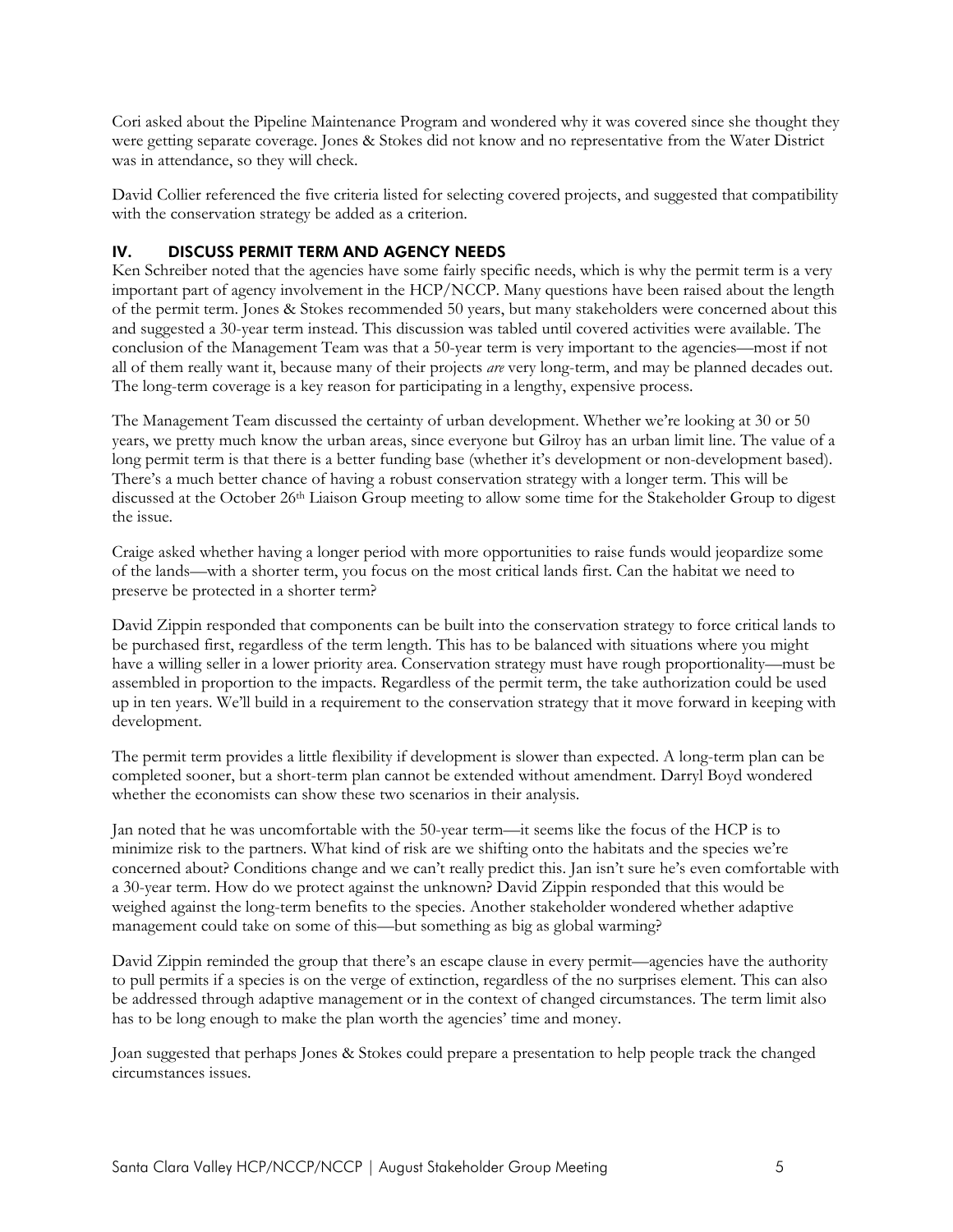Cori asked about the Pipeline Maintenance Program and wondered why it was covered since she thought they were getting separate coverage. Jones & Stokes did not know and no representative from the Water District was in attendance, so they will check.

David Collier referenced the five criteria listed for selecting covered projects, and suggested that compatibility with the conservation strategy be added as a criterion.

# IV. DISCUSS PERMIT TERM AND AGENCY NEEDS

Ken Schreiber noted that the agencies have some fairly specific needs, which is why the permit term is a very important part of agency involvement in the HCP/NCCP. Many questions have been raised about the length of the permit term. Jones & Stokes recommended 50 years, but many stakeholders were concerned about this and suggested a 30-year term instead. This discussion was tabled until covered activities were available. The conclusion of the Management Team was that a 50-year term is very important to the agencies—most if not all of them really want it, because many of their projects *are* very long-term, and may be planned decades out. The long-term coverage is a key reason for participating in a lengthy, expensive process.

The Management Team discussed the certainty of urban development. Whether we're looking at 30 or 50 years, we pretty much know the urban areas, since everyone but Gilroy has an urban limit line. The value of a long permit term is that there is a better funding base (whether it's development or non-development based). There's a much better chance of having a robust conservation strategy with a longer term. This will be discussed at the October 26th Liaison Group meeting to allow some time for the Stakeholder Group to digest the issue.

Craige asked whether having a longer period with more opportunities to raise funds would jeopardize some of the lands—with a shorter term, you focus on the most critical lands first. Can the habitat we need to preserve be protected in a shorter term?

David Zippin responded that components can be built into the conservation strategy to force critical lands to be purchased first, regardless of the term length. This has to be balanced with situations where you might have a willing seller in a lower priority area. Conservation strategy must have rough proportionality—must be assembled in proportion to the impacts. Regardless of the permit term, the take authorization could be used up in ten years. We'll build in a requirement to the conservation strategy that it move forward in keeping with development.

The permit term provides a little flexibility if development is slower than expected. A long-term plan can be completed sooner, but a short-term plan cannot be extended without amendment. Darryl Boyd wondered whether the economists can show these two scenarios in their analysis.

Jan noted that he was uncomfortable with the 50-year term—it seems like the focus of the HCP is to minimize risk to the partners. What kind of risk are we shifting onto the habitats and the species we're concerned about? Conditions change and we can't really predict this. Jan isn't sure he's even comfortable with a 30-year term. How do we protect against the unknown? David Zippin responded that this would be weighed against the long-term benefits to the species. Another stakeholder wondered whether adaptive management could take on some of this—but something as big as global warming?

David Zippin reminded the group that there's an escape clause in every permit—agencies have the authority to pull permits if a species is on the verge of extinction, regardless of the no surprises element. This can also be addressed through adaptive management or in the context of changed circumstances. The term limit also has to be long enough to make the plan worth the agencies' time and money.

Joan suggested that perhaps Jones & Stokes could prepare a presentation to help people track the changed circumstances issues.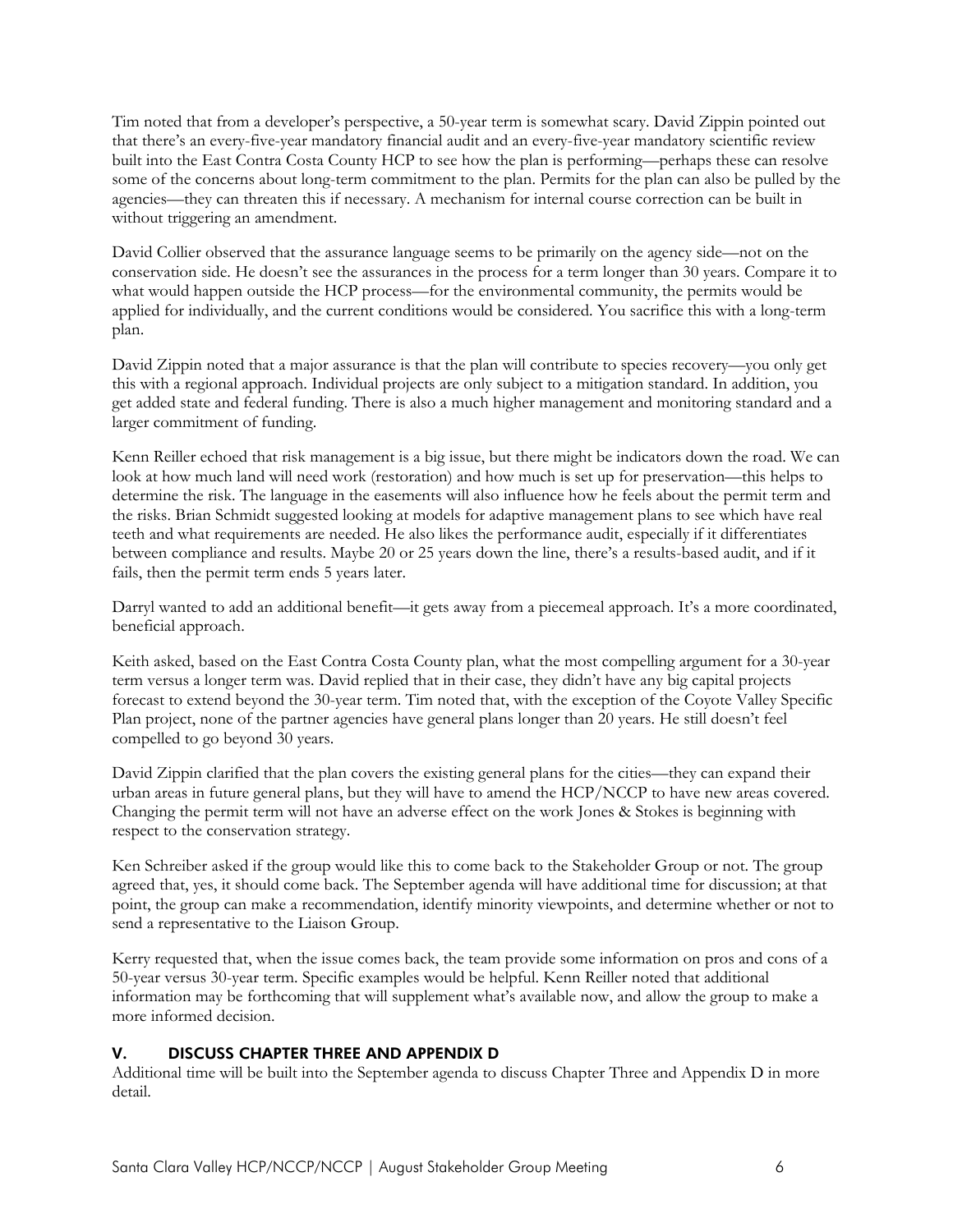Tim noted that from a developer's perspective, a 50-year term is somewhat scary. David Zippin pointed out that there's an every-five-year mandatory financial audit and an every-five-year mandatory scientific review built into the East Contra Costa County HCP to see how the plan is performing—perhaps these can resolve some of the concerns about long-term commitment to the plan. Permits for the plan can also be pulled by the agencies—they can threaten this if necessary. A mechanism for internal course correction can be built in without triggering an amendment.

David Collier observed that the assurance language seems to be primarily on the agency side—not on the conservation side. He doesn't see the assurances in the process for a term longer than 30 years. Compare it to what would happen outside the HCP process—for the environmental community, the permits would be applied for individually, and the current conditions would be considered. You sacrifice this with a long-term plan.

David Zippin noted that a major assurance is that the plan will contribute to species recovery—you only get this with a regional approach. Individual projects are only subject to a mitigation standard. In addition, you get added state and federal funding. There is also a much higher management and monitoring standard and a larger commitment of funding.

Kenn Reiller echoed that risk management is a big issue, but there might be indicators down the road. We can look at how much land will need work (restoration) and how much is set up for preservation—this helps to determine the risk. The language in the easements will also influence how he feels about the permit term and the risks. Brian Schmidt suggested looking at models for adaptive management plans to see which have real teeth and what requirements are needed. He also likes the performance audit, especially if it differentiates between compliance and results. Maybe 20 or 25 years down the line, there's a results-based audit, and if it fails, then the permit term ends 5 years later.

Darryl wanted to add an additional benefit—it gets away from a piecemeal approach. It's a more coordinated, beneficial approach.

Keith asked, based on the East Contra Costa County plan, what the most compelling argument for a 30-year term versus a longer term was. David replied that in their case, they didn't have any big capital projects forecast to extend beyond the 30-year term. Tim noted that, with the exception of the Coyote Valley Specific Plan project, none of the partner agencies have general plans longer than 20 years. He still doesn't feel compelled to go beyond 30 years.

David Zippin clarified that the plan covers the existing general plans for the cities—they can expand their urban areas in future general plans, but they will have to amend the HCP/NCCP to have new areas covered. Changing the permit term will not have an adverse effect on the work Jones & Stokes is beginning with respect to the conservation strategy.

Ken Schreiber asked if the group would like this to come back to the Stakeholder Group or not. The group agreed that, yes, it should come back. The September agenda will have additional time for discussion; at that point, the group can make a recommendation, identify minority viewpoints, and determine whether or not to send a representative to the Liaison Group.

Kerry requested that, when the issue comes back, the team provide some information on pros and cons of a 50-year versus 30-year term. Specific examples would be helpful. Kenn Reiller noted that additional information may be forthcoming that will supplement what's available now, and allow the group to make a more informed decision.

# V. DISCUSS CHAPTER THREE AND APPENDIX D

Additional time will be built into the September agenda to discuss Chapter Three and Appendix D in more detail.